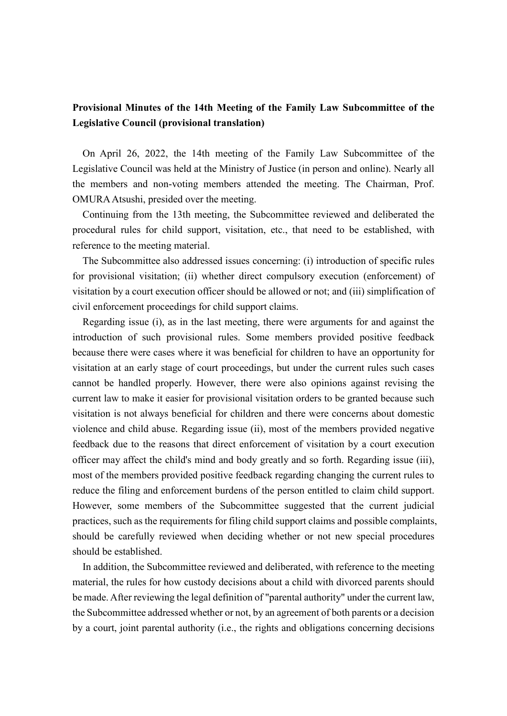## **Provisional Minutes of the 14th Meeting of the Family Law Subcommittee of the Legislative Council (provisional translation)**

On April 26, 2022, the 14th meeting of the Family Law Subcommittee of the Legislative Council was held at the Ministry of Justice (in person and online). Nearly all the members and non-voting members attended the meeting. The Chairman, Prof. OMURAAtsushi, presided over the meeting.

Continuing from the 13th meeting, the Subcommittee reviewed and deliberated the procedural rules for child support, visitation, etc., that need to be established, with reference to the meeting material.

The Subcommittee also addressed issues concerning: (i) introduction of specific rules for provisional visitation; (ii) whether direct compulsory execution (enforcement) of visitation by a court execution officer should be allowed or not; and (iii) simplification of civil enforcement proceedings for child support claims.

Regarding issue (i), as in the last meeting, there were arguments for and against the introduction of such provisional rules. Some members provided positive feedback because there were cases where it was beneficial for children to have an opportunity for visitation at an early stage of court proceedings, but under the current rules such cases cannot be handled properly. However, there were also opinions against revising the current law to make it easier for provisional visitation orders to be granted because such visitation is not always beneficial for children and there were concerns about domestic violence and child abuse. Regarding issue (ii), most of the members provided negative feedback due to the reasons that direct enforcement of visitation by a court execution officer may affect the child's mind and body greatly and so forth. Regarding issue (iii), most of the members provided positive feedback regarding changing the current rules to reduce the filing and enforcement burdens of the person entitled to claim child support. However, some members of the Subcommittee suggested that the current judicial practices, such as the requirements for filing child support claims and possible complaints, should be carefully reviewed when deciding whether or not new special procedures should be established.

In addition, the Subcommittee reviewed and deliberated, with reference to the meeting material, the rules for how custody decisions about a child with divorced parents should be made. After reviewing the legal definition of "parental authority" under the current law, the Subcommittee addressed whether or not, by an agreement of both parents or a decision by a court, joint parental authority (i.e., the rights and obligations concerning decisions